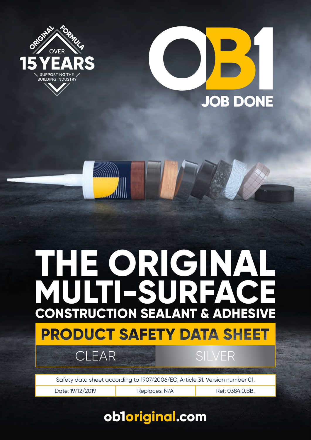



# **CONSTRUCTION SEALANT & ADHESIVE MULTI-SURFACE THE ORIGINAL**

**PRODUCT SAFETY DATA SHEET** 

CLEAR I SILVER

Safety data sheet according to 1907/2006/EC, Article 31. Version number 01.

Date: 19/12/2019 **Replaces: N/A** Ref: 0384.0.BB.

# Safety data sheet according to 1907/2006/EC, Article 31. Version number 01. Replaces: N/A. Revision Date: 19/12/2019. Printing Date: 19/12/2019. **ob1original.com**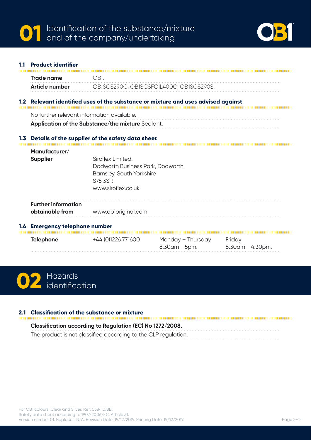

|     | <b>Product identifier</b>                     |                                                                                    |                                                                               |  |
|-----|-----------------------------------------------|------------------------------------------------------------------------------------|-------------------------------------------------------------------------------|--|
|     | <b>Trade name</b>                             | OB1.                                                                               |                                                                               |  |
|     | Article number                                |                                                                                    | OB1SCS290C, OB1SCSFOIL400C, OB1SCS290S.                                       |  |
| 1.2 |                                               |                                                                                    | Relevant identified uses of the substance or mixture and uses advised against |  |
|     | No further relevant information available.    |                                                                                    |                                                                               |  |
|     |                                               | Application of the Substance/the mixture Sealant.                                  |                                                                               |  |
|     | Manufacturer/<br><b>Supplier</b>              | Siroflex Limited.<br>Dodworth Business Park, Dodworth<br>Barnsley, South Yorkshire |                                                                               |  |
|     |                                               | S75 3SP.                                                                           |                                                                               |  |
|     |                                               | www.siroflex.co.uk                                                                 |                                                                               |  |
|     | <b>Further information</b><br>obtainable from | www.ob1original.com                                                                |                                                                               |  |
|     |                                               |                                                                                    |                                                                               |  |
| 1.4 | <b>Emergency telephone number</b>             |                                                                                    |                                                                               |  |



## **2.1 Classification of the substance or mixture**

**Classification according to Regulation (EC) No 1272/2008.** The product is not classified according to the CLP regulation.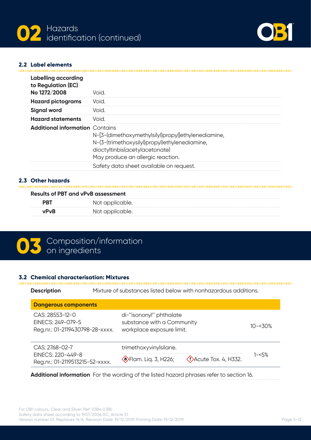



### **2.2 Label elements**

| <b>Labelling according</b><br>to Regulation (EC)<br>No 1272/2008 | Void.                                                                                                                                                                      |
|------------------------------------------------------------------|----------------------------------------------------------------------------------------------------------------------------------------------------------------------------|
| <b>Hazard pictograms</b>                                         | Void.                                                                                                                                                                      |
| <b>Signal word</b>                                               | Void.                                                                                                                                                                      |
| <b>Hazard statements</b>                                         | Void.                                                                                                                                                                      |
| <b>Additional information Contains</b>                           | N-[3-(dimethoxymethylsilyl)propyl]ethylenediamine,<br>N-(3-(trimethoxysilyl)propyl)ethylenediamine,<br>dioctyltinbis(acetylacetonate)<br>May produce an allergic reaction. |
|                                                                  | Safety data sheet available on request.                                                                                                                                    |

## **2.3 Other hazards**

| <b>Results of PBT and vPvB assessment</b> |                 |  |  |
|-------------------------------------------|-----------------|--|--|
| <b>PRT</b>                                | Not applicable. |  |  |
| <b>vPvR</b>                               | Not applicable. |  |  |

# **03** Composition/information

# **3.2 Chemical characterisation: Mixtures**

| <b>Description</b>                                                        | Mixture of substances listed below with nonhazardous additions.                    |             |
|---------------------------------------------------------------------------|------------------------------------------------------------------------------------|-------------|
| <b>Dangerous components</b>                                               |                                                                                    |             |
| $CAS: 28553-12-0$<br>FINFCS: 249-079-5<br>Reg.nr.: 01-2119430798-28-xxxx. | di-"isononyl" phthalate<br>substance with a Community<br>workplace exposure limit. | $10 - 50$ % |
| CAS: 2768-02-7<br>EINECS: 220-449-8<br>Reg.nr.: 01-2119513215-52-xxxx.    | trimethoxyvinylsilane.<br>Elam. Liq. 3, H226;<br>$\bigotimes$ Acute Tox. 4, H332.  | $1 - 5%$    |

**Additional information** For the wording of the listed hazard phrases refer to section 16. . . . . . . . . . . . . . . . .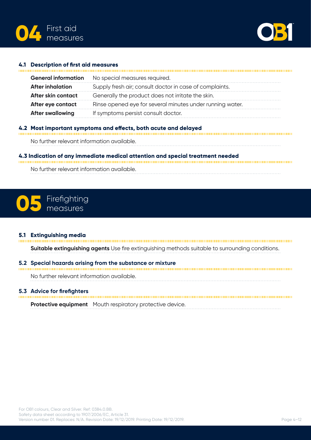

mmm



#### **4.1 Description of first aid measures**

| <b>General information</b><br>No special measures required.                        |  |
|------------------------------------------------------------------------------------|--|
| Supply fresh air; consult doctor in case of complaints.<br><b>After inhalation</b> |  |
| Generally the product does not irritate the skin.<br>After skin contact            |  |
| Rinse opened eye for several minutes under running water.<br>After eye contact     |  |
| <b>After swallowing</b><br>If symptoms persist consult doctor.                     |  |

### **4.2 Most important symptoms and effects, both acute and delayed**

No further relevant information available.

### **4.3 Indication of any immediate medical attention and special treatment needed**

No further relevant information available.

# Firefighting **05** measures

**5.1 Extinguishing media**

**Suitable extinguishing agents** Use fire extinguishing methods suitable to surrounding conditions.

### **5.2 Special hazards arising from the substance or mixture**

No further relevant information available.

### **5.3 Advice for firefighters**

**Protective equipment** Mouth respiratory protective device.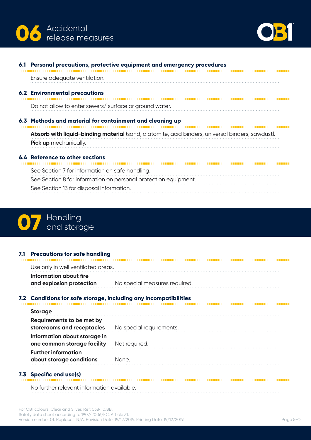



| 6.1 | Personal precautions, protective equipment and emergency procedures                              |
|-----|--------------------------------------------------------------------------------------------------|
|     | Ensure adequate ventilation.                                                                     |
|     | <b>6.2 Environmental precautions</b>                                                             |
|     | Do not allow to enter sewers/ surface or ground water.                                           |
|     | 6.3 Methods and material for containment and cleaning up                                         |
|     | Absorb with liquid-binding material (sand, diatomite, acid binders, universal binders, sawdust). |
|     | <b>Pick up</b> mechanically.                                                                     |
|     | Reference to other sections                                                                      |
|     | See Section 7 for information on safe handling.                                                  |
|     | See Section 8 for information on personal protection equipment.                                  |
|     | See Section 13 for disposal information.                                                         |



**7.1 Precautions for safe handling** Use only in well ventilated areas. **Information about fire and explosion protection** No special measures required. 

## **7.2 Conditions for safe storage, including any incompatibilities**

| <b>Storage</b>                                              |                          |
|-------------------------------------------------------------|--------------------------|
| Requirements to be met by<br>storerooms and receptacles     | No special requirements. |
| Information about storage in<br>one common storage facility | Not required.            |
| <b>Further information</b><br>about storage conditions      | None.                    |

**7.3 Specific end use(s)** 

No further relevant information available.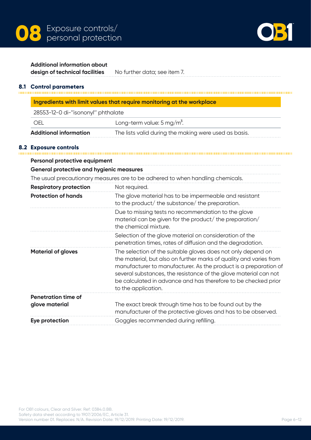



### **Additional information about**

**design of technical facilities** No further data; see item 7.

**8.1 Control parameters**

| Ingredients with limit values that require monitoring at the workplace |                                                       |  |
|------------------------------------------------------------------------|-------------------------------------------------------|--|
| 28553-12-0 di-"isononyl" phthalate                                     |                                                       |  |
| <b>OFI</b>                                                             | Long-term value: $5 \,\mathrm{mg/m^3}$ .              |  |
| <b>Additional information</b>                                          | The lists valid during the making were used as basis. |  |

### **8.2 Exposure controls**

| Personal protective equipment                   |                                                                                                                                                                                                                                                                                                                                                                     |
|-------------------------------------------------|---------------------------------------------------------------------------------------------------------------------------------------------------------------------------------------------------------------------------------------------------------------------------------------------------------------------------------------------------------------------|
| <b>General protective and hygienic measures</b> |                                                                                                                                                                                                                                                                                                                                                                     |
|                                                 | The usual precautionary measures are to be adhered to when handling chemicals.                                                                                                                                                                                                                                                                                      |
| <b>Respiratory protection</b>                   | Not required.                                                                                                                                                                                                                                                                                                                                                       |
| <b>Protection of hands</b>                      | The glove material has to be impermeable and resistant<br>to the product/ the substance/ the preparation.                                                                                                                                                                                                                                                           |
|                                                 | Due to missing tests no recommendation to the glove<br>material can be given for the product/ the preparation/<br>the chemical mixture.                                                                                                                                                                                                                             |
|                                                 | Selection of the glove material on consideration of the<br>penetration times, rates of diffusion and the degradation.                                                                                                                                                                                                                                               |
| <b>Material of gloves</b>                       | The selection of the suitable gloves does not only depend on<br>the material, but also on further marks of quality and varies from<br>manufacturer to manufacturer. As the product is a preparation of<br>several substances, the resistance of the glove material can not<br>be calculated in advance and has therefore to be checked prior<br>to the application. |
| <b>Penetration time of</b>                      |                                                                                                                                                                                                                                                                                                                                                                     |
| glove material                                  | The exact break through time has to be found out by the<br>manufacturer of the protective gloves and has to be observed.                                                                                                                                                                                                                                            |
| Eye protection                                  | Goggles recommended during refilling.                                                                                                                                                                                                                                                                                                                               |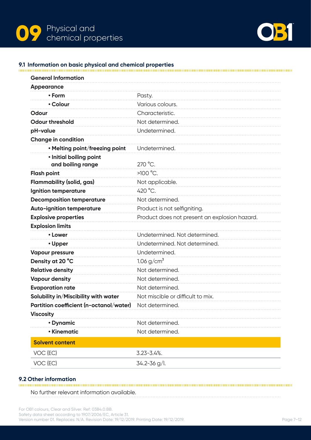



### **9.1 Information on basic physical and chemical properties**

| <b>General Information</b>              |                                               |
|-----------------------------------------|-----------------------------------------------|
| <b>Appearance</b>                       |                                               |
| • Form                                  | Pasty.                                        |
| • Colour                                | Various colours.                              |
| Odour                                   | Characteristic.                               |
| <b>Odour threshold</b>                  | Not determined.                               |
| pH-value                                | Undetermined.                                 |
| <b>Change in condition</b>              |                                               |
| . Melting point/freezing point          | Undetermined.                                 |
| · Initial boiling point                 |                                               |
| and boiling range                       | 270 °C.                                       |
| <b>Flash point</b>                      | $>100$ °C.                                    |
| <b>Flammability (solid, gas)</b>        | Not applicable.                               |
| Ignition temperature                    | 420 °C.                                       |
| <b>Decomposition temperature</b>        | Not determined.                               |
| <b>Auto-ignition temperature</b>        | Product is not selfigniting.                  |
| <b>Explosive properties</b>             | Product does not present an explosion hazard. |
| <b>Explosion limits</b>                 |                                               |
| • Lower                                 | Undetermined. Not determined.                 |
| • Upper                                 | Undetermined. Not determined.                 |
| <b>Vapour pressure</b>                  | Undetermined.                                 |
| Density at 20 °C                        | 1.06 $g/cm^{3}$                               |
| <b>Relative density</b>                 | Not determined.                               |
| <b>Vapour density</b>                   | Not determined.                               |
| <b>Evaporation rate</b>                 | Not determined.                               |
| Solubility in/Miscibility with water    | Not miscible or difficult to mix.             |
| Partition coefficient (n-octanol/water) | Not determined.                               |
| <b>Viscosity</b>                        |                                               |
| • Dynamic                               | Not determined.                               |
| • Kinematic                             | Not determined.                               |
| <b>Solvent content</b>                  |                                               |
| VOC (EC)                                | $3.23 - 3.4%$ .                               |
| VOC (EC)                                | $34.2 - 36$ g/l.                              |
|                                         |                                               |

**9.2 Other information** No further relevant information available.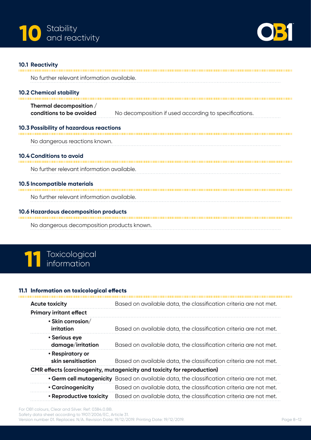



#### **10.1 Reactivity**

| No further relevant information available.          |                                                       |
|-----------------------------------------------------|-------------------------------------------------------|
| <b>10.2 Chemical stability</b>                      |                                                       |
| Thermal decomposition /<br>conditions to be avoided | No decomposition if used according to specifications. |
| <b>10.3 Possibility of hazardous reactions</b>      |                                                       |
| No dangerous reactions known.                       |                                                       |
| <b>10.4 Conditions to avoid</b>                     |                                                       |
| No further relevant information available.          |                                                       |
| 10.5 Incompatible materials                         |                                                       |
| No further relevant information available.          |                                                       |
| 10.6 Hazardous decomposition products               |                                                       |
| No dangerous decomposition products known.          |                                                       |

# **11** Toxicological information

## **11.1 Information on toxicological effects**

| <b>Acute toxicity</b>                        | Based on available data, the classification criteria are not met.                          |
|----------------------------------------------|--------------------------------------------------------------------------------------------|
| <b>Primary irritant effect</b>               |                                                                                            |
| $\cdot$ Skin corrosion/<br><i>irritation</i> | Based on available data, the classification criteria are not met.                          |
| • Serious eye<br>damage/irritation           | Based on available data, the classification criteria are not met.                          |
| • Respiratory or<br>skin sensitisation       | Based on available data, the classification criteria are not met.                          |
|                                              | <b>CMR</b> effects (carcinogenity, mutagenicity and toxicity for reproduction)             |
|                                              | . Germ cell mutagenicity Based on available data, the classification criteria are not met. |
| • Carcinogenicity                            | Based on available data, the classification criteria are not met.                          |
| • Reproductive toxicity                      | Based on available data, the classification criteria are not met.                          |
|                                              |                                                                                            |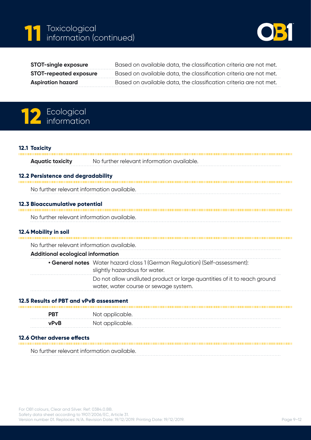



| <b>STOT-single exposure</b>   | Based on available data, the classification criteria are not met. |
|-------------------------------|-------------------------------------------------------------------|
| <b>STOT-repeated exposure</b> | Based on available data, the classification criteria are not met. |
| <b>Aspiration hazard</b>      | Based on available data, the classification criteria are not met. |

# 12 Ecological **12** information

### **12.1 Toxicity**

Ï

| <b>Aquatic toxicity</b>                    | No further relevant information available.                                                                        |
|--------------------------------------------|-------------------------------------------------------------------------------------------------------------------|
| 12.2 Persistence and degradability         |                                                                                                                   |
| No further relevant information available. |                                                                                                                   |
| 12.3 Bioaccumulative potential             |                                                                                                                   |
| No further relevant information available. |                                                                                                                   |
| 12.4 Mobility in soil                      |                                                                                                                   |
| No further relevant information available. |                                                                                                                   |
| <b>Additional ecological information</b>   |                                                                                                                   |
|                                            | • General notes Water hazard class 1 (German Regulation) (Self-assessment):<br>slightly hazardous for water.      |
|                                            | Do not allow undiluted product or large quantities of it to reach ground<br>water, water course or sewage system. |
|                                            |                                                                                                                   |

# **12.5 Results of PBT and vPvB assessment**

| <b>PRT</b> | Not applicable. |
|------------|-----------------|
| vPvB       | Not applicable. |

**12.6 Other adverse effects**

No further relevant information available.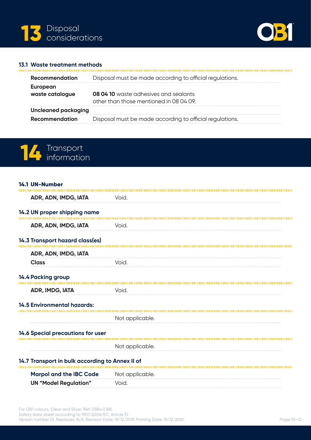



#### **13.1 Waste treatment methods**

mm

| <b>Recommendation</b>      | Disposal must be made according to official regulations. |
|----------------------------|----------------------------------------------------------|
| European                   |                                                          |
| waste catalogue            | <b>08 04 10</b> waste adhesives and sealants             |
|                            | other than those mentioned in 08 04 09.                  |
| <b>Uncleaned packaging</b> |                                                          |
| Recommendation             | Disposal must be made according to official regulations. |



## **14.1 UN-Number ADR, ADN, IMDG, IATA** Void. **14.2 UN proper shipping name ADR, ADN, IMDG, IATA** Void. **14.3 Transport hazard class(es) ADR, ADN, IMDG, IATA Class** Void. **14.4 Packing group ADR, IMDG, IATA Void. 14.5 Environmental hazards:** Not applicable. **14.6 Special precautions for user** Not applicable. **14.7 Transport in bulk according to Annex II of Marpol and the IBC Code** Not applicable. **UN "Model Regulation"** Void.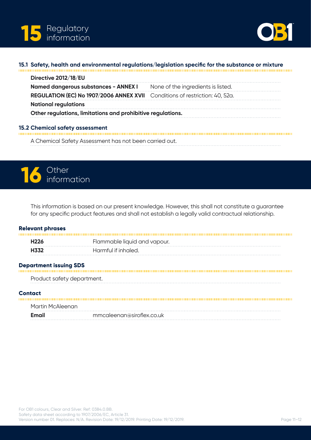



#### **15.1 Safety, health and environmental regulations/legislation specific for the substance or mixture**

| Directive 2012/18/EU                                                        |                                    |
|-----------------------------------------------------------------------------|------------------------------------|
| Named dangerous substances - ANNEX I                                        | None of the ingredients is listed. |
| REGULATION (EC) No 1907/2006 ANNEX XVII Conditions of restriction: 40, 52a. |                                    |
| <b>National regulations</b>                                                 |                                    |
| Other regulations, limitations and prohibitive regulations.                 |                                    |

A Chemical Safety Assessment has not been carried out.



This information is based on our present knowledge. However, this shall not constitute a guarantee for any specific product features and shall not establish a legally valid contractual relationship.

#### **Relevant phrases**

| <u> 1999 - Andrea Stadt Stadt Stadt Stadt Stadt Stadt Stadt Stadt Stadt Stadt Stadt Stadt Stadt Stadt Stadt Stadt Stadt Stadt Stadt Stadt Stadt Stadt Stadt Stadt Stadt Stadt Stadt Stadt Stadt Stadt Stadt Stadt Stadt Stadt St</u> |                              |  |
|--------------------------------------------------------------------------------------------------------------------------------------------------------------------------------------------------------------------------------------|------------------------------|--|
| H <sub>226</sub>                                                                                                                                                                                                                     | Flammable liquid and vapour. |  |
| <b>H332</b>                                                                                                                                                                                                                          | Harmful if inhaled.          |  |
|                                                                                                                                                                                                                                      |                              |  |

**Department issuing SDS**

Product safety department. 

#### **Contact** mmu

| Martin McAleenan |                           |
|------------------|---------------------------|
| Email            | mmcaleenan@siroflex.co.uk |